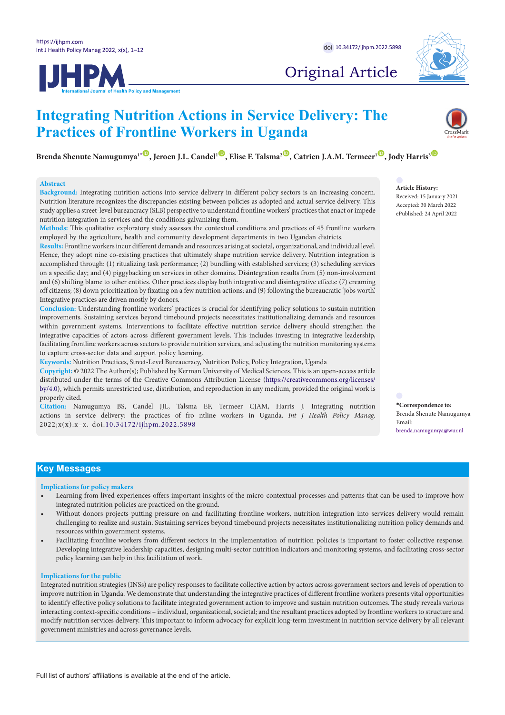JHPM



# Original Article

# **Integrating Nutrition Actions in Service Delivery: The Practices of Frontline Workers in Uganda**

**Brenda Shenute Namugumya<sup>1</sup><sup></sup> <sup>10</sup>, Jeroen J.L. Candel<sup>1</sup><sup>(0</sup>), Elise F. Talsma<sup>2</sup><sup>(0</sup>), Catrien J.A.M. Termeer<sup>1</sup><sup>(0</sup>), Jody Harris<sup>3</sup><sup>(0</sup>)** 

### **Abstract**

**Background:** Integrating nutrition actions into service delivery in different policy sectors is an increasing concern. Nutrition literature recognizes the discrepancies existing between policies as adopted and actual service delivery. This study applies a street-level bureaucracy (SLB) perspective to understand frontline workers' practices that enact or impede nutrition integration in services and the conditions galvanizing them.

**Methods:** This qualitative exploratory study assesses the contextual conditions and practices of 45 frontline workers employed by the agriculture, health and community development departments in two Ugandan districts.

**Results:** Frontline workers incur different demands and resources arising at societal, organizational, and individual level. Hence, they adopt nine co-existing practices that ultimately shape nutrition service delivery. Nutrition integration is accomplished through: (1) ritualizing task performance; (2) bundling with established services; (3) scheduling services on a specific day; and (4) piggybacking on services in other domains. Disintegration results from (5) non-involvement and (6) shifting blame to other entities. Other practices display both integrative and disintegrative effects: (7) creaming off citizens; (8) down prioritization by fixating on a few nutrition actions; and (9) following the bureaucratic 'jobs worth'. Integrative practices are driven mostly by donors.

**Conclusion:** Understanding frontline workers' practices is crucial for identifying policy solutions to sustain nutrition improvements. Sustaining services beyond timebound projects necessitates institutionalizing demands and resources within government systems. Interventions to facilitate effective nutrition service delivery should strengthen the integrative capacities of actors across different government levels. This includes investing in integrative leadership, facilitating frontline workers across sectors to provide nutrition services, and adjusting the nutrition monitoring systems to capture cross-sector data and support policy learning.

**Keywords:** Nutrition Practices, Street-Level Bureaucracy, Nutrition Policy, Policy Integration, Uganda

**Copyright:** © 2022 The Author(s); Published by Kerman University of Medical Sciences. This is an open-access article distributed under the terms of the Creative Commons Attribution License [\(https://creativecommons.org/licenses/](https://creativecommons.org/licenses/by/4.0/) [by/4.0\)](https://creativecommons.org/licenses/by/4.0/), which permits unrestricted use, distribution, and reproduction in any medium, provided the original work is properly cited.

**Citation:** Namugumya BS, Candel JJL, Talsma EF, Termeer CJAM, Harris J. Integrating nutrition actions in service delivery: the practices of fro ntline workers in Uganda. *Int J Health Policy Manag.*  2022;x(x):x–x. doi:[10.34172/ijhpm.2022.5898](https://doi.org/10.34172/ijhpm.2022.5898)

Received: 15 January 2021 Accepted: 30 March 2022 ePublished: 24 April 2022

**Article History:**

<span id="page-0-0"></span>**\*Correspondence to:** Brenda Shenute Namugumya Email: brenda.namugumya@wur.nl

### **Key Messages**

#### **Implications for policy makers**

- Learning from lived experiences offers important insights of the micro-contextual processes and patterns that can be used to improve how integrated nutrition policies are practiced on the ground.
- Without donors projects putting pressure on and facilitating frontline workers, nutrition integration into services delivery would remain challenging to realize and sustain. Sustaining services beyond timebound projects necessitates institutionalizing nutrition policy demands and resources within government systems.
- Facilitating frontline workers from different sectors in the implementation of nutrition policies is important to foster collective response. Developing integrative leadership capacities, designing multi-sector nutrition indicators and monitoring systems, and facilitating cross-sector policy learning can help in this facilitation of work.

#### **Implications for the public**

Integrated nutrition strategies (INSs) are policy responses to facilitate collective action by actors across government sectors and levels of operation to improve nutrition in Uganda. We demonstrate that understanding the integrative practices of different frontline workers presents vital opportunities to identify effective policy solutions to facilitate integrated government action to improve and sustain nutrition outcomes. The study reveals various interacting context-specific conditions – individual, organizational, societal; and the resultant practices adopted by frontline workers to structure and modify nutrition services delivery. This important to inform advocacy for explicit long-term investment in nutrition service delivery by all relevant government ministries and across governance levels.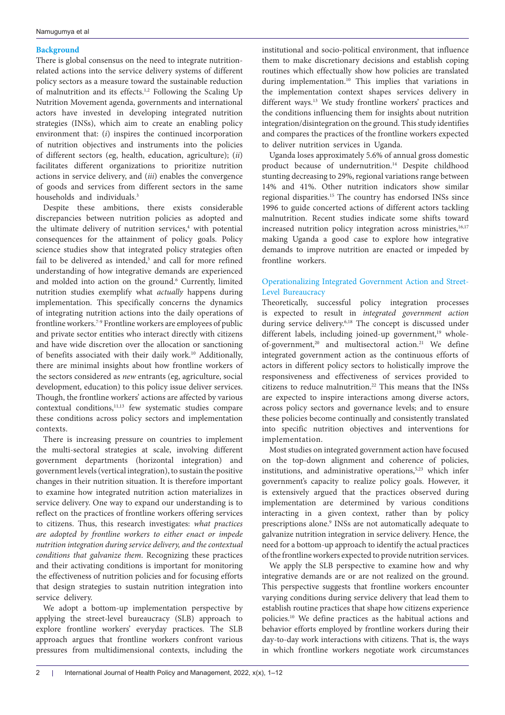### **Background**

There is global consensus on the need to integrate nutritionrelated actions into the service delivery systems of different policy sectors as a measure toward the sustainable reduction of malnutrition and its effects.<sup>1,2</sup> Following the Scaling Up Nutrition Movement agenda, governments and international actors have invested in developing integrated nutrition strategies (INSs), which aim to create an enabling policy environment that: (*i*) inspires the continued incorporation of nutrition objectives and instruments into the policies of different sectors (eg, health, education, agriculture); (*ii*) facilitates different organizations to prioritize nutrition actions in service delivery, and (*iii*) enables the convergence of goods and services from different sectors in the same households and individuals.<sup>3</sup>

Despite these ambitions, there exists considerable discrepancies between nutrition policies as adopted and the ultimate delivery of nutrition services,<sup>4</sup> with potential consequences for the attainment of policy goals. Policy science studies show that integrated policy strategies often fail to be delivered as intended,<sup>5</sup> and call for more refined understanding of how integrative demands are experienced and molded into action on the ground.<sup>6</sup> Currently, limited nutrition studies exemplify what *actually* happens during implementation. This specifically concerns the dynamics of integrating nutrition actions into the daily operations of frontline workers.7-9 Frontline workers are employees of public and private sector entities who interact directly with citizens and have wide discretion over the allocation or sanctioning of benefits associated with their daily work.<sup>10</sup> Additionally, there are minimal insights about how frontline workers of the sectors considered as *new* entrants (eg, agriculture, social development, education) to this policy issue deliver services. Though, the frontline workers' actions are affected by various  $contextual$  conditions, $11,13$  few systematic studies compare these conditions across policy sectors and implementation contexts.

There is increasing pressure on countries to implement the multi-sectoral strategies at scale, involving different government departments (horizontal integration) and government levels (vertical integration), to sustain the positive changes in their nutrition situation. It is therefore important to examine how integrated nutrition action materializes in service delivery. One way to expand our understanding is to reflect on the practices of frontline workers offering services to citizens. Thus, this research investigates: *what practices are adopted by frontline workers to either enact or impede nutrition integration during service delivery, and the contextual conditions that galvanize them*. Recognizing these practices and their activating conditions is important for monitoring the effectiveness of nutrition policies and for focusing efforts that design strategies to sustain nutrition integration into service delivery.

We adopt a bottom-up implementation perspective by applying the street-level bureaucracy (SLB) approach to explore frontline workers' everyday practices. The SLB approach argues that frontline workers confront various pressures from multidimensional contexts, including the

institutional and socio-political environment, that influence them to make discretionary decisions and establish coping routines which effectually show how policies are translated during implementation.<sup>10</sup> This implies that variations in the implementation context shapes services delivery in different ways.<sup>13</sup> We study frontline workers' practices and the conditions influencing them for insights about nutrition integration/disintegration on the ground. This study identifies and compares the practices of the frontline workers expected to deliver nutrition services in Uganda.

Uganda loses approximately 5.6% of annual gross domestic product because of undernutrition.<sup>14</sup> Despite childhood stunting decreasing to 29%, regional variations range between 14% and 41%. Other nutrition indicators show similar regional disparities.15 The country has endorsed INSs since 1996 to guide concerted actions of different actors tackling malnutrition. Recent studies indicate some shifts toward increased nutrition policy integration across ministries,<sup>16,17</sup> making Uganda a good case to explore how integrative demands to improve nutrition are enacted or impeded by frontline workers.

### Operationalizing Integrated Government Action and Street-Level Bureaucracy

Theoretically, successful policy integration processes is expected to result in *integrated government action* during service delivery.<sup>6,18</sup> The concept is discussed under different labels, including joined-up government,<sup>19</sup> wholeof-government,<sup>20</sup> and multisectoral action.<sup>21</sup> We define integrated government action as the continuous efforts of actors in different policy sectors to holistically improve the responsiveness and effectiveness of services provided to citizens to reduce malnutrition.<sup>22</sup> This means that the INSs are expected to inspire interactions among diverse actors, across policy sectors and governance levels; and to ensure these policies become continually and consistently translated into specific nutrition objectives and interventions for implementation.

Most studies on integrated government action have focused on the top-down alignment and coherence of policies, institutions, and administrative operations,<sup>5,23</sup> which infer government's capacity to realize policy goals. However, it is extensively argued that the practices observed during implementation are determined by various conditions interacting in a given context, rather than by policy prescriptions alone.<sup>9</sup> INSs are not automatically adequate to galvanize nutrition integration in service delivery. Hence, the need for a bottom-up approach to identify the actual practices of the frontline workers expected to provide nutrition services.

We apply the SLB perspective to examine how and why integrative demands are or are not realized on the ground. This perspective suggests that frontline workers encounter varying conditions during service delivery that lead them to establish routine practices that shape how citizens experience policies.10 We define practices as the habitual actions and behavior efforts employed by frontline workers during their day-to-day work interactions with citizens. That is, the ways in which frontline workers negotiate work circumstances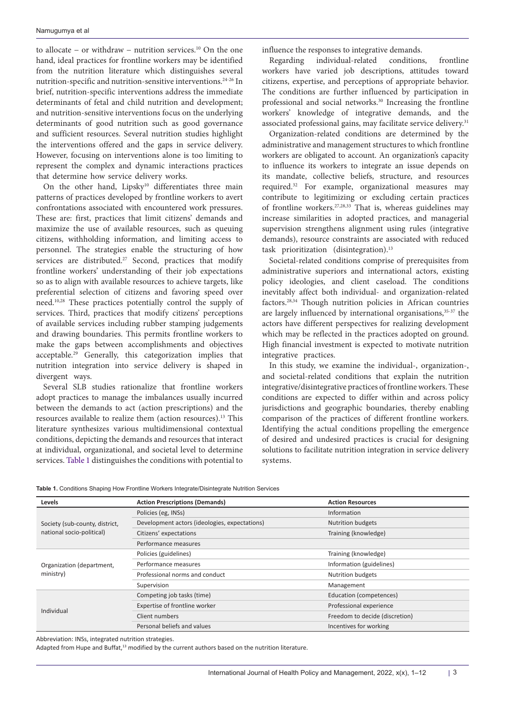to allocate − or withdraw − nutrition services.10 On the one hand, ideal practices for frontline workers may be identified from the nutrition literature which distinguishes several nutrition-specific and nutrition-sensitive interventions.24-26 In brief, nutrition-specific interventions address the immediate determinants of fetal and child nutrition and development; and nutrition-sensitive interventions focus on the underlying determinants of good nutrition such as good governance and sufficient resources. Several nutrition studies highlight the interventions offered and the gaps in service delivery. However, focusing on interventions alone is too limiting to represent the complex and dynamic interactions practices that determine how service delivery works.

On the other hand, Lipsky<sup>10</sup> differentiates three main patterns of practices developed by frontline workers to avert confrontations associated with encountered work pressures. These are: first, practices that limit citizens' demands and maximize the use of available resources, such as queuing citizens, withholding information, and limiting access to personnel. The strategies enable the structuring of how services are distributed.<sup>27</sup> Second, practices that modify frontline workers' understanding of their job expectations so as to align with available resources to achieve targets, like preferential selection of citizens and favoring speed over need.10,28 These practices potentially control the supply of services. Third, practices that modify citizens' perceptions of available services including rubber stamping judgements and drawing boundaries. This permits frontline workers to make the gaps between accomplishments and objectives acceptable.29 Generally, this categorization implies that nutrition integration into service delivery is shaped in divergent ways.

Several SLB studies rationalize that frontline workers adopt practices to manage the imbalances usually incurred between the demands to act (action prescriptions) and the resources available to realize them (action resources).13 This literature synthesizes various multidimensional contextual conditions, depicting the demands and resources that interact at individual, organizational, and societal level to determine services. [Table 1](#page-2-0) distinguishes the conditions with potential to influence the responses to integrative demands.

Regarding individual-related conditions, frontline workers have varied job descriptions, attitudes toward citizens, expertise, and perceptions of appropriate behavior. The conditions are further influenced by participation in professional and social networks.<sup>30</sup> Increasing the frontline workers' knowledge of integrative demands, and the associated professional gains, may facilitate service delivery.<sup>31</sup>

Organization-related conditions are determined by the administrative and management structures to which frontline workers are obligated to account. An organization's capacity to influence its workers to integrate an issue depends on its mandate, collective beliefs, structure, and resources required.32 For example, organizational measures may contribute to legitimizing or excluding certain practices of frontline workers.27,28,33 That is, whereas guidelines may increase similarities in adopted practices, and managerial supervision strengthens alignment using rules (integrative demands), resource constraints are associated with reduced task prioritization (disintegration).<sup>13</sup>

Societal-related conditions comprise of prerequisites from administrative superiors and international actors, existing policy ideologies, and client caseload. The conditions inevitably affect both individual- and organization-related factors.28,34 Though nutrition policies in African countries are largely influenced by international organisations,<sup>35-37</sup> the actors have different perspectives for realizing development which may be reflected in the practices adopted on ground. High financial investment is expected to motivate nutrition integrative practices.

In this study, we examine the individual-, organization-, and societal-related conditions that explain the nutrition integrative/disintegrative practices of frontline workers. These conditions are expected to differ within and across policy jurisdictions and geographic boundaries, thereby enabling comparison of the practices of different frontline workers. Identifying the actual conditions propelling the emergence of desired and undesired practices is crucial for designing solutions to facilitate nutrition integration in service delivery systems.

<span id="page-2-0"></span>

|  |  |  |  |  |  |  |  | Table 1. Conditions Shaping How Frontline Workers Integrate/Disintegrate Nutrition Services |
|--|--|--|--|--|--|--|--|---------------------------------------------------------------------------------------------|
|--|--|--|--|--|--|--|--|---------------------------------------------------------------------------------------------|

| <b>Levels</b>                  | <b>Action Prescriptions (Demands)</b>         | <b>Action Resources</b>        |  |  |
|--------------------------------|-----------------------------------------------|--------------------------------|--|--|
|                                | Policies (eg, INSs)                           | Information                    |  |  |
| Society (sub-county, district, | Development actors (ideologies, expectations) | <b>Nutrition budgets</b>       |  |  |
| national socio-political)      | Citizens' expectations                        | Training (knowledge)           |  |  |
|                                | Performance measures                          |                                |  |  |
|                                | Policies (guidelines)                         | Training (knowledge)           |  |  |
| Organization (department,      | Performance measures                          | Information (guidelines)       |  |  |
| ministry)                      | Professional norms and conduct                | <b>Nutrition budgets</b>       |  |  |
|                                | Supervision                                   | Management                     |  |  |
|                                | Competing job tasks (time)                    | Education (competences)        |  |  |
| Individual                     | Expertise of frontline worker                 | Professional experience        |  |  |
|                                | Client numbers                                | Freedom to decide (discretion) |  |  |
|                                | Personal beliefs and values                   | Incentives for working         |  |  |

Abbreviation: INSs, integrated nutrition strategies.

Adapted from Hupe and Buffat,<sup>13</sup> modified by the current authors based on the nutrition literature.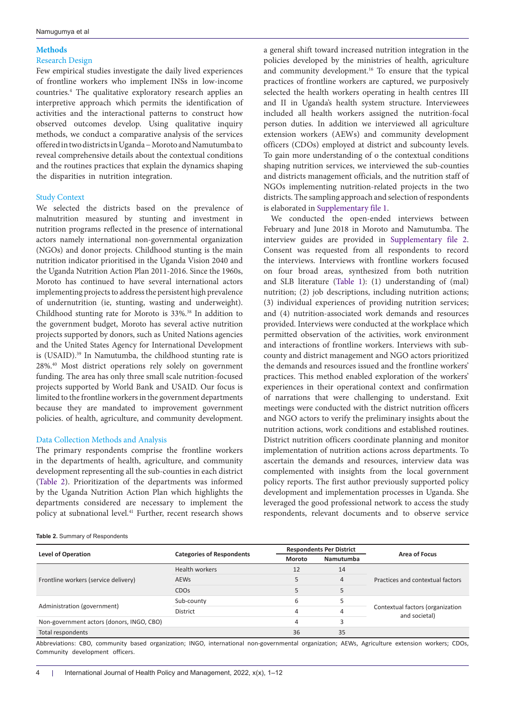## **Methods**

### Research Design

Few empirical studies investigate the daily lived experiences of frontline workers who implement INSs in low-income countries.4 The qualitative exploratory research applies an interpretive approach which permits the identification of activities and the interactional patterns to construct how observed outcomes develop. Using qualitative inquiry methods, we conduct a comparative analysis of the services offered in two districts in Uganda − Moroto and Namutumba to reveal comprehensive details about the contextual conditions and the routines practices that explain the dynamics shaping the disparities in nutrition integration.

### Study Context

We selected the districts based on the prevalence of malnutrition measured by stunting and investment in nutrition programs reflected in the presence of international actors namely international non-governmental organization (NGOs) and donor projects. Childhood stunting is the main nutrition indicator prioritised in the Uganda Vision 2040 and the Uganda Nutrition Action Plan 2011-2016. Since the 1960s, Moroto has continued to have several international actors implementing projects to address the persistent high prevalence of undernutrition (ie, stunting, wasting and underweight). Childhood stunting rate for Moroto is 33%.38 In addition to the government budget, Moroto has several active nutrition projects supported by donors, such as United Nations agencies and the United States Agency for International Development is (USAID).<sup>39</sup> In Namutumba, the childhood stunting rate is 28%.40 Most district operations rely solely on government funding. The area has only three small scale nutrition-focused projects supported by World Bank and USAID. Our focus is limited to the frontline workers in the government departments because they are mandated to improvement government policies. of health, agriculture, and community development.

### Data Collection Methods and Analysis

The primary respondents comprise the frontline workers in the departments of health, agriculture, and community development representing all the sub-counties in each district ([Table 2\)](#page-3-0). Prioritization of the departments was informed by the Uganda Nutrition Action Plan which highlights the departments considered are necessary to implement the policy at subnational level.<sup>41</sup> Further, recent research shows

### <span id="page-3-0"></span>**Table 2.** Summary of Respondents

a general shift toward increased nutrition integration in the policies developed by the ministries of health, agriculture and community development.16 To ensure that the typical practices of frontline workers are captured, we purposively selected the health workers operating in health centres III and II in Uganda's health system structure. Interviewees included all health workers assigned the nutrition-focal person duties. In addition we interviewed all agriculture extension workers (AEWs) and community development officers (CDOs) employed at district and subcounty levels. To gain more understanding of o the contextual conditions shaping nutrition services, we interviewed the sub-counties and districts management officials, and the nutrition staff of NGOs implementing nutrition-related projects in the two districts. The sampling approach and selection of respondents is elaborated in [Supplementary file 1](#page-10-0).

We conducted the open-ended interviews between February and June 2018 in Moroto and Namutumba. The interview guides are provided in [Supplementary file 2](#page-10-1). Consent was requested from all respondents to record the interviews. Interviews with frontline workers focused on four broad areas, synthesized from both nutrition and SLB literature [\(Table 1](#page-2-0)): (1) understanding of (mal) nutrition; (2) job descriptions, including nutrition actions; (3) individual experiences of providing nutrition services; and (4) nutrition-associated work demands and resources provided. Interviews were conducted at the workplace which permitted observation of the activities, work environment and interactions of frontline workers. Interviews with subcounty and district management and NGO actors prioritized the demands and resources issued and the frontline workers' practices. This method enabled exploration of the workers' experiences in their operational context and confirmation of narrations that were challenging to understand. Exit meetings were conducted with the district nutrition officers and NGO actors to verify the preliminary insights about the nutrition actions, work conditions and established routines. District nutrition officers coordinate planning and monitor implementation of nutrition actions across departments. To ascertain the demands and resources, interview data was complemented with insights from the local government policy reports. The first author previously supported policy development and implementation processes in Uganda. She leveraged the good professional network to access the study respondents, relevant documents and to observe service

|                                                                                                  |                                  |        | <b>Respondents Per District</b> | Area of Focus                                     |  |
|--------------------------------------------------------------------------------------------------|----------------------------------|--------|---------------------------------|---------------------------------------------------|--|
|                                                                                                  | <b>Categories of Respondents</b> | Moroto | Namutumba                       |                                                   |  |
|                                                                                                  | Health workers                   | 12     | 14                              |                                                   |  |
| <b>Level of Operation</b><br>Frontline workers (service delivery)<br>Administration (government) | <b>AEWS</b>                      |        | $\overline{4}$                  | Practices and contextual factors                  |  |
|                                                                                                  | <b>CDO<sub>s</sub></b>           |        | 5                               | Contextual factors (organization<br>and societal) |  |
|                                                                                                  | Sub-county                       | 6      |                                 |                                                   |  |
|                                                                                                  | District                         | 4      | 4                               |                                                   |  |
| Non-government actors (donors, INGO, CBO)                                                        |                                  | 4      |                                 |                                                   |  |
| Total respondents                                                                                |                                  | 36     | 35                              |                                                   |  |

Abbreviations: CBO, community based organization; INGO, international non-governmental organization; AEWs, Agriculture extension workers; CDOs, Community development officers.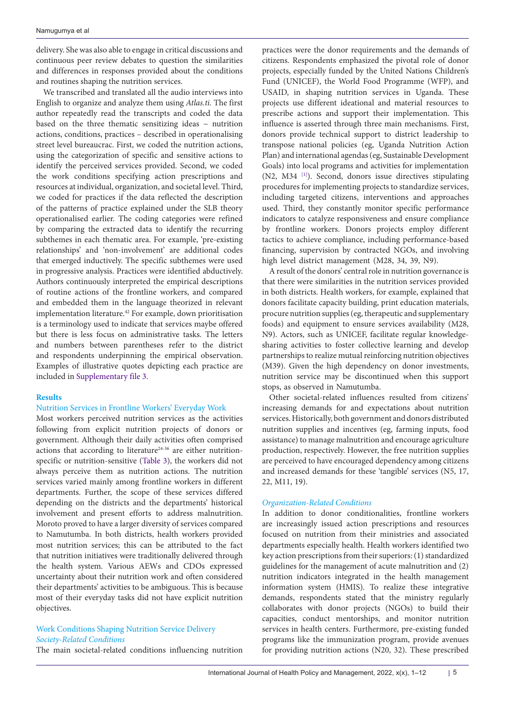delivery. She was also able to engage in critical discussions and continuous peer review debates to question the similarities and differences in responses provided about the conditions and routines shaping the nutrition services.

We transcribed and translated all the audio interviews into English to organize and analyze them using *Atlas.ti.* The first author repeatedly read the transcripts and coded the data based on the three thematic sensitizing ideas − nutrition actions, conditions, practices – described in operationalising street level bureaucrac. First, we coded the nutrition actions, using the categorization of specific and sensitive actions to identify the perceived services provided. Second, we coded the work conditions specifying action prescriptions and resources at individual, organization, and societal level. Third, we coded for practices if the data reflected the description of the patterns of practice explained under the SLB theory operationalised earlier. The coding categories were refined by comparing the extracted data to identify the recurring subthemes in each thematic area. For example, 'pre-existing relationships' and 'non-involvement' are additional codes that emerged inductively. The specific subthemes were used in progressive analysis. Practices were identified abductively. Authors continuously interpreted the empirical descriptions of routine actions of the frontline workers, and compared and embedded them in the language theorized in relevant implementation literature.42 For example, down prioritisation is a terminology used to indicate that services maybe offered but there is less focus on administrative tasks. The letters and numbers between parentheses refer to the district and respondents underpinning the empirical observation. Examples of illustrative quotes depicting each practice are included in [Supplementary file 3.](#page-10-2)

### **Results**

### Nutrition Services in Frontline Workers' Everyday Work

Most workers perceived nutrition services as the activities following from explicit nutrition projects of donors or government. Although their daily activities often comprised actions that according to literature $24-36$  are either nutritionspecific or nutrition-sensitive ([Table 3](#page-5-0)), the workers did not always perceive them as nutrition actions. The nutrition services varied mainly among frontline workers in different departments. Further, the scope of these services differed depending on the districts and the departments' historical involvement and present efforts to address malnutrition. Moroto proved to have a larger diversity of services compared to Namutumba. In both districts, health workers provided most nutrition services; this can be attributed to the fact that nutrition initiatives were traditionally delivered through the health system. Various AEWs and CDOs expressed uncertainty about their nutrition work and often considered their departments' activities to be ambiguous. This is because most of their everyday tasks did not have explicit nutrition objectives.

### Work Conditions Shaping Nutrition Service Delivery *Society-Related Conditions*

The main societal-related conditions influencing nutrition

practices were the donor requirements and the demands of citizens. Respondents emphasized the pivotal role of donor projects, especially funded by the United Nations Children's Fund (UNICEF), the World Food Programme (WFP), and USAID, in shaping nutrition services in Uganda. These projects use different ideational and material resources to prescribe actions and support their implementation. This influence is asserted through three main mechanisms. First, donors provide technical support to district leadership to transpose national policies (eg, Uganda Nutrition Action Plan) and international agendas (eg, Sustainable Development Goals) into local programs and activities for implementation (N2, M34 [\[1\]](#page-10-3)). Second, donors issue directives stipulating procedures for implementing projects to standardize services, including targeted citizens, interventions and approaches used. Third, they constantly monitor specific performance indicators to catalyze responsiveness and ensure compliance by frontline workers. Donors projects employ different tactics to achieve compliance, including performance-based financing, supervision by contracted NGOs, and involving high level district management (M28, 34, 39, N9).

A result of the donors' central role in nutrition governance is that there were similarities in the nutrition services provided in both districts. Health workers, for example, explained that donors facilitate capacity building, print education materials, procure nutrition supplies (eg, therapeutic and supplementary foods) and equipment to ensure services availability (M28, N9). Actors, such as UNICEF, facilitate regular knowledgesharing activities to foster collective learning and develop partnerships to realize mutual reinforcing nutrition objectives (M39). Given the high dependency on donor investments, nutrition service may be discontinued when this support stops, as observed in Namutumba.

Other societal-related influences resulted from citizens' increasing demands for and expectations about nutrition services. Historically, both government and donors distributed nutrition supplies and incentives (eg, farming inputs, food assistance) to manage malnutrition and encourage agriculture production, respectively. However, the free nutrition supplies are perceived to have encouraged dependency among citizens and increased demands for these 'tangible' services (N5, 17, 22, M11, 19).

#### *Organization-Related Conditions*

In addition to donor conditionalities, frontline workers are increasingly issued action prescriptions and resources focused on nutrition from their ministries and associated departments especially health. Health workers identified two key action prescriptions from their superiors: (1) standardized guidelines for the management of acute malnutrition and (2) nutrition indicators integrated in the health management information system (HMIS). To realize these integrative demands, respondents stated that the ministry regularly collaborates with donor projects (NGOs) to build their capacities, conduct mentorships, and monitor nutrition services in health centers. Furthermore, pre-existing funded programs like the immunization program, provide avenues for providing nutrition actions (N20, 32). These prescribed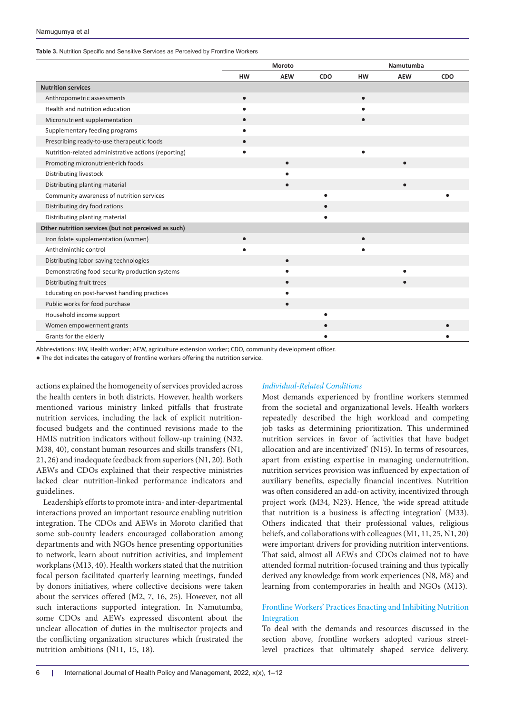#### Namugumya et al

<span id="page-5-0"></span>**Table 3.** Nutrition Specific and Sensitive Services as Perceived by Frontline Workers

|                                                      | Moroto    |            |     | Namutumba |            |     |  |
|------------------------------------------------------|-----------|------------|-----|-----------|------------|-----|--|
|                                                      | <b>HW</b> | <b>AEW</b> | CDO | <b>HW</b> | <b>AEW</b> | CDO |  |
| <b>Nutrition services</b>                            |           |            |     |           |            |     |  |
| Anthropometric assessments                           | $\bullet$ |            |     | $\bullet$ |            |     |  |
| Health and nutrition education                       |           |            |     |           |            |     |  |
| Micronutrient supplementation                        |           |            |     | $\bullet$ |            |     |  |
| Supplementary feeding programs                       |           |            |     |           |            |     |  |
| Prescribing ready-to-use therapeutic foods           |           |            |     |           |            |     |  |
| Nutrition-related administrative actions (reporting) |           |            |     |           |            |     |  |
| Promoting micronutrient-rich foods                   |           |            |     |           |            |     |  |
| Distributing livestock                               |           |            |     |           |            |     |  |
| Distributing planting material                       |           |            |     |           | ٠          |     |  |
| Community awareness of nutrition services            |           |            |     |           |            |     |  |
| Distributing dry food rations                        |           |            |     |           |            |     |  |
| Distributing planting material                       |           |            |     |           |            |     |  |
| Other nutrition services (but not perceived as such) |           |            |     |           |            |     |  |
| Iron folate supplementation (women)                  | $\bullet$ |            |     | $\bullet$ |            |     |  |
| Anthelminthic control                                |           |            |     | $\bullet$ |            |     |  |
| Distributing labor-saving technologies               |           |            |     |           |            |     |  |
| Demonstrating food-security production systems       |           |            |     |           |            |     |  |
| Distributing fruit trees                             |           |            |     |           |            |     |  |
| Educating on post-harvest handling practices         |           |            |     |           |            |     |  |
| Public works for food purchase                       |           |            |     |           |            |     |  |
| Household income support                             |           |            |     |           |            |     |  |
| Women empowerment grants                             |           |            |     |           |            |     |  |
| Grants for the elderly                               |           |            |     |           |            |     |  |

Abbreviations: HW, Health worker; AEW, agriculture extension worker; CDO, community development officer.

● The dot indicates the category of frontline workers offering the nutrition service.

actions explained the homogeneity of services provided across the health centers in both districts. However, health workers mentioned various ministry linked pitfalls that frustrate nutrition services, including the lack of explicit nutritionfocused budgets and the continued revisions made to the HMIS nutrition indicators without follow-up training (N32, M38, 40), constant human resources and skills transfers (N1, 21, 26) and inadequate feedback from superiors (N1, 20). Both AEWs and CDOs explained that their respective ministries lacked clear nutrition-linked performance indicators and guidelines.

Leadership's efforts to promote intra- and inter-departmental interactions proved an important resource enabling nutrition integration. The CDOs and AEWs in Moroto clarified that some sub-county leaders encouraged collaboration among departments and with NGOs hence presenting opportunities to network, learn about nutrition activities, and implement workplans (M13, 40). Health workers stated that the nutrition focal person facilitated quarterly learning meetings, funded by donors initiatives, where collective decisions were taken about the services offered (M2, 7, 16, 25). However, not all such interactions supported integration. In Namutumba, some CDOs and AEWs expressed discontent about the unclear allocation of duties in the multisector projects and the conflicting organization structures which frustrated the nutrition ambitions (N11, 15, 18).

### *Individual-Related Conditions*

Most demands experienced by frontline workers stemmed from the societal and organizational levels. Health workers repeatedly described the high workload and competing job tasks as determining prioritization. This undermined nutrition services in favor of 'activities that have budget allocation and are incentivized' (N15). In terms of resources, apart from existing expertise in managing undernutrition, nutrition services provision was influenced by expectation of auxiliary benefits, especially financial incentives. Nutrition was often considered an add-on activity, incentivized through project work (M34, N23). Hence, 'the wide spread attitude that nutrition is a business is affecting integration' (M33). Others indicated that their professional values, religious beliefs, and collaborations with colleagues (M1, 11, 25, N1, 20) were important drivers for providing nutrition interventions. That said, almost all AEWs and CDOs claimed not to have attended formal nutrition-focused training and thus typically derived any knowledge from work experiences (N8, M8) and learning from contemporaries in health and NGOs (M13).

### Frontline Workers' Practices Enacting and Inhibiting Nutrition Integration

To deal with the demands and resources discussed in the section above, frontline workers adopted various streetlevel practices that ultimately shaped service delivery.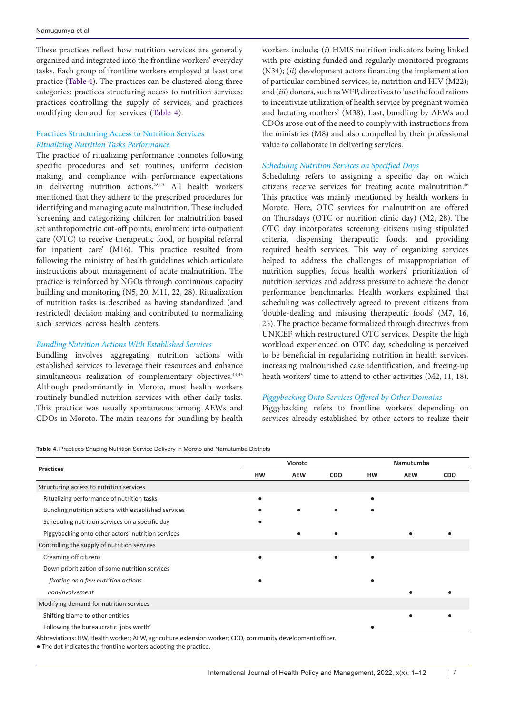These practices reflect how nutrition services are generally organized and integrated into the frontline workers' everyday tasks. Each group of frontline workers employed at least one practice [\(Table 4](#page-6-0)). The practices can be clustered along three categories: practices structuring access to nutrition services; practices controlling the supply of services; and practices modifying demand for services ([Table 4](#page-6-0)).

### Practices Structuring Access to Nutrition Services *Ritualizing Nutrition Tasks Performance*

The practice of ritualizing performance connotes following specific procedures and set routines, uniform decision making, and compliance with performance expectations in delivering nutrition actions.28,43 All health workers mentioned that they adhere to the prescribed procedures for identifying and managing acute malnutrition. These included 'screening and categorizing children for malnutrition based set anthropometric cut-off points; enrolment into outpatient care (OTC) to receive therapeutic food, or hospital referral for inpatient care' (M16). This practice resulted from following the ministry of health guidelines which articulate instructions about management of acute malnutrition. The practice is reinforced by NGOs through continuous capacity building and monitoring (N5, 20, M11, 22, 28). Ritualization of nutrition tasks is described as having standardized (and restricted) decision making and contributed to normalizing such services across health centers.

### *Bundling Nutrition Actions With Established Services*

Bundling involves aggregating nutrition actions with established services to leverage their resources and enhance simultaneous realization of complementary objectives.<sup>44,45</sup> Although predominantly in Moroto, most health workers routinely bundled nutrition services with other daily tasks. This practice was usually spontaneous among AEWs and CDOs in Moroto. The main reasons for bundling by health

<span id="page-6-0"></span>**Table 4.** Practices Shaping Nutrition Service Delivery in Moroto and Namutumba Districts

workers include; (*i*) HMIS nutrition indicators being linked with pre-existing funded and regularly monitored programs (N34); (*ii*) development actors financing the implementation of particular combined services, ie, nutrition and HIV (M22); and (*iii*) donors, such as WFP, directives to 'use the food rations to incentivize utilization of health service by pregnant women and lactating mothers' (M38). Last, bundling by AEWs and CDOs arose out of the need to comply with instructions from the ministries (M8) and also compelled by their professional value to collaborate in delivering services.

### *Scheduling Nutrition Services on Specified Days*

Scheduling refers to assigning a specific day on which citizens receive services for treating acute malnutrition.<sup>46</sup> This practice was mainly mentioned by health workers in Moroto. Here, OTC services for malnutrition are offered on Thursdays (OTC or nutrition clinic day) (M2, 28). The OTC day incorporates screening citizens using stipulated criteria, dispensing therapeutic foods, and providing required health services. This way of organizing services helped to address the challenges of misappropriation of nutrition supplies, focus health workers' prioritization of nutrition services and address pressure to achieve the donor performance benchmarks. Health workers explained that scheduling was collectively agreed to prevent citizens from 'double-dealing and misusing therapeutic foods' (M7, 16, 25). The practice became formalized through directives from UNICEF which restructured OTC services. Despite the high workload experienced on OTC day, scheduling is perceived to be beneficial in regularizing nutrition in health services, increasing malnourished case identification, and freeing-up heath workers' time to attend to other activities (M2, 11, 18).

### *Piggybacking Onto Services Offered by Other Domains*

Piggybacking refers to frontline workers depending on services already established by other actors to realize their

|                                                                                                                | Moroto |            |            | Namutumba |            |            |  |
|----------------------------------------------------------------------------------------------------------------|--------|------------|------------|-----------|------------|------------|--|
| <b>Practices</b>                                                                                               | HW     | <b>AEW</b> | <b>CDO</b> | HW        | <b>AEW</b> | <b>CDO</b> |  |
| Structuring access to nutrition services                                                                       |        |            |            |           |            |            |  |
| Ritualizing performance of nutrition tasks                                                                     |        |            |            |           |            |            |  |
| Bundling nutrition actions with established services                                                           |        |            |            |           |            |            |  |
| Scheduling nutrition services on a specific day                                                                |        |            |            |           |            |            |  |
| Piggybacking onto other actors' nutrition services                                                             |        |            |            |           |            |            |  |
| Controlling the supply of nutrition services                                                                   |        |            |            |           |            |            |  |
| Creaming off citizens                                                                                          |        |            |            |           |            |            |  |
| Down prioritization of some nutrition services                                                                 |        |            |            |           |            |            |  |
| fixating on a few nutrition actions                                                                            |        |            |            |           |            |            |  |
| non-involvement                                                                                                |        |            |            |           |            |            |  |
| Modifying demand for nutrition services                                                                        |        |            |            |           |            |            |  |
| Shifting blame to other entities                                                                               |        |            |            |           |            |            |  |
| Following the bureaucratic 'jobs worth'                                                                        |        |            |            |           |            |            |  |
| Aleksandaria eta HAL Haaliko maskaso AFWL agsianlinea aniarakoa maskaso CBO, agsiarratin alamakarena alfitarra |        |            |            |           |            |            |  |

Abbreviations: HW, Health worker; AEW, agriculture extension worker; CDO, community development officer.

● The dot indicates the frontline workers adopting the practice.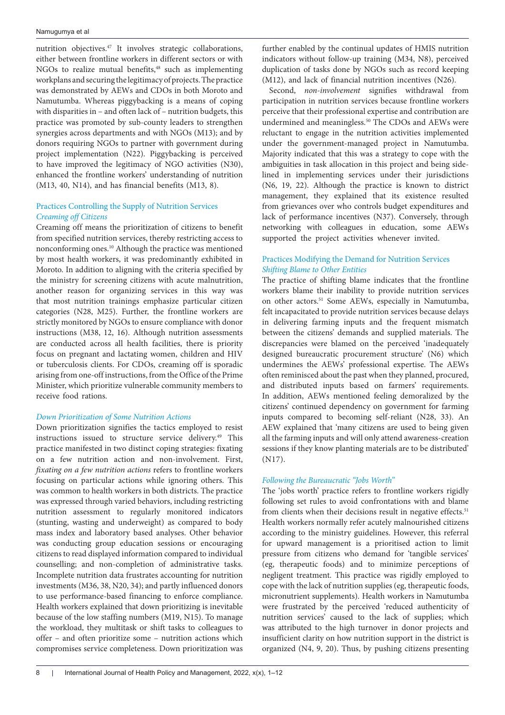nutrition objectives.47 It involves strategic collaborations, either between frontline workers in different sectors or with NGOs to realize mutual benefits,<sup>48</sup> such as implementing workplans and securing the legitimacy of projects. The practice was demonstrated by AEWs and CDOs in both Moroto and Namutumba. Whereas piggybacking is a means of coping with disparities in – and often lack of – nutrition budgets, this practice was promoted by sub-county leaders to strengthen synergies across departments and with NGOs (M13); and by donors requiring NGOs to partner with government during project implementation (N22). Piggybacking is perceived to have improved the legitimacy of NGO activities (N30), enhanced the frontline workers' understanding of nutrition (M13, 40, N14), and has financial benefits (M13, 8).

### Practices Controlling the Supply of Nutrition Services *Creaming off Citizens*

Creaming off means the prioritization of citizens to benefit from specified nutrition services, thereby restricting access to nonconforming ones.10 Although the practice was mentioned by most health workers, it was predominantly exhibited in Moroto. In addition to aligning with the criteria specified by the ministry for screening citizens with acute malnutrition, another reason for organizing services in this way was that most nutrition trainings emphasize particular citizen categories (N28, M25). Further, the frontline workers are strictly monitored by NGOs to ensure compliance with donor instructions (M38, 12, 16). Although nutrition assessments are conducted across all health facilities, there is priority focus on pregnant and lactating women, children and HIV or tuberculosis clients. For CDOs, creaming off is sporadic arising from one-off instructions, from the Office of the Prime Minister, which prioritize vulnerable community members to receive food rations.

### *Down Prioritization of Some Nutrition Actions*

Down prioritization signifies the tactics employed to resist instructions issued to structure service delivery.<sup>49</sup> This practice manifested in two distinct coping strategies: fixating on a few nutrition action and non-involvement. First, *fixating on a few nutrition actions* refers to frontline workers focusing on particular actions while ignoring others. This was common to health workers in both districts. The practice was expressed through varied behaviors, including restricting nutrition assessment to regularly monitored indicators (stunting, wasting and underweight) as compared to body mass index and laboratory based analyses. Other behavior was conducting group education sessions or encouraging citizens to read displayed information compared to individual counselling; and non-completion of administrative tasks. Incomplete nutrition data frustrates accounting for nutrition investments (M36, 38, N20, 34); and partly influenced donors to use performance-based financing to enforce compliance. Health workers explained that down prioritizing is inevitable because of the low staffing numbers (M19, N15). To manage the workload, they multitask or shift tasks to colleagues to offer – and often prioritize some – nutrition actions which compromises service completeness. Down prioritization was

further enabled by the continual updates of HMIS nutrition indicators without follow-up training (M34, N8), perceived duplication of tasks done by NGOs such as record keeping (M12), and lack of financial nutrition incentives (N26).

Second, *non-involvement* signifies withdrawal from participation in nutrition services because frontline workers perceive that their professional expertise and contribution are undermined and meaningless.<sup>50</sup> The CDOs and AEWs were reluctant to engage in the nutrition activities implemented under the government-managed project in Namutumba. Majority indicated that this was a strategy to cope with the ambiguities in task allocation in this project and being sidelined in implementing services under their jurisdictions (N6, 19, 22). Although the practice is known to district management, they explained that its existence resulted from grievances over who controls budget expenditures and lack of performance incentives (N37). Conversely, through networking with colleagues in education, some AEWs supported the project activities whenever invited.

### Practices Modifying the Demand for Nutrition Services *Shifting Blame to Other Entities*

The practice of shifting blame indicates that the frontline workers blame their inability to provide nutrition services on other actors.<sup>51</sup> Some AEWs, especially in Namutumba, felt incapacitated to provide nutrition services because delays in delivering farming inputs and the frequent mismatch between the citizens' demands and supplied materials. The discrepancies were blamed on the perceived 'inadequately designed bureaucratic procurement structure' (N6) which undermines the AEWs' professional expertise. The AEWs often reminisced about the past when they planned, procured, and distributed inputs based on farmers' requirements. In addition, AEWs mentioned feeling demoralized by the citizens' continued dependency on government for farming inputs compared to becoming self-reliant (N28, 33). An AEW explained that 'many citizens are used to being given all the farming inputs and will only attend awareness-creation sessions if they know planting materials are to be distributed' (N17).

### *Following the Bureaucratic "Jobs Worth"*

The 'jobs worth' practice refers to frontline workers rigidly following set rules to avoid confrontations with and blame from clients when their decisions result in negative effects.<sup>51</sup> Health workers normally refer acutely malnourished citizens according to the ministry guidelines. However, this referral for upward management is a prioritised action to limit pressure from citizens who demand for 'tangible services' (eg, therapeutic foods) and to minimize perceptions of negligent treatment. This practice was rigidly employed to cope with the lack of nutrition supplies (eg, therapeutic foods, micronutrient supplements). Health workers in Namutumba were frustrated by the perceived 'reduced authenticity of nutrition services' caused to the lack of supplies; which was attributed to the high turnover in donor projects and insufficient clarity on how nutrition support in the district is organized (N4, 9, 20). Thus, by pushing citizens presenting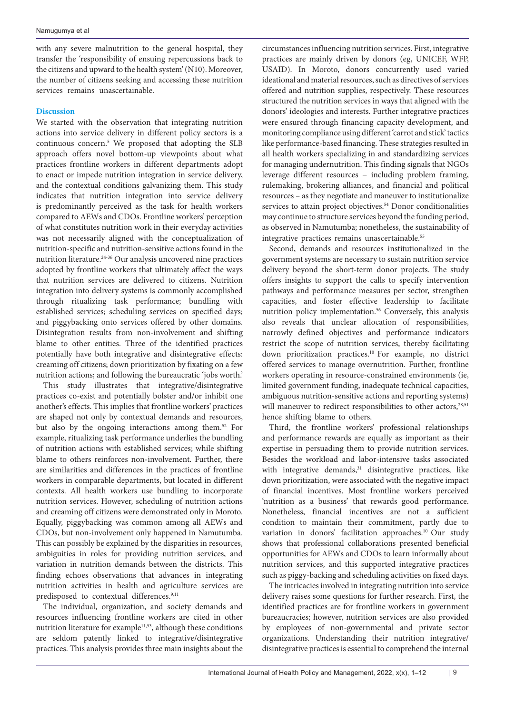with any severe malnutrition to the general hospital, they transfer the 'responsibility of ensuing repercussions back to the citizens and upward to the health system' (N10). Moreover, the number of citizens seeking and accessing these nutrition services remains unascertainable.

### **Discussion**

We started with the observation that integrating nutrition actions into service delivery in different policy sectors is a continuous concern.5 We proposed that adopting the SLB approach offers novel bottom-up viewpoints about what practices frontline workers in different departments adopt to enact or impede nutrition integration in service delivery, and the contextual conditions galvanizing them. This study indicates that nutrition integration into service delivery is predominantly perceived as the task for health workers compared to AEWs and CDOs. Frontline workers' perception of what constitutes nutrition work in their everyday activities was not necessarily aligned with the conceptualization of nutrition-specific and nutrition-sensitive actions found in the nutrition literature.24-36 Our analysis uncovered nine practices adopted by frontline workers that ultimately affect the ways that nutrition services are delivered to citizens. Nutrition integration into delivery systems is commonly accomplished through ritualizing task performance; bundling with established services; scheduling services on specified days; and piggybacking onto services offered by other domains. Disintegration results from non-involvement and shifting blame to other entities. Three of the identified practices potentially have both integrative and disintegrative effects: creaming off citizens; down prioritization by fixating on a few nutrition actions; and following the bureaucratic 'jobs worth.'

This study illustrates that integrative/disintegrative practices co-exist and potentially bolster and/or inhibit one another's effects. This implies that frontline workers' practices are shaped not only by contextual demands and resources, but also by the ongoing interactions among them.52 For example, ritualizing task performance underlies the bundling of nutrition actions with established services; while shifting blame to others reinforces non-involvement. Further, there are similarities and differences in the practices of frontline workers in comparable departments, but located in different contexts. All health workers use bundling to incorporate nutrition services. However, scheduling of nutrition actions and creaming off citizens were demonstrated only in Moroto. Equally, piggybacking was common among all AEWs and CDOs, but non-involvement only happened in Namutumba. This can possibly be explained by the disparities in resources, ambiguities in roles for providing nutrition services, and variation in nutrition demands between the districts. This finding echoes observations that advances in integrating nutrition activities in health and agriculture services are predisposed to contextual differences.<sup>9,11</sup>

The individual, organization, and society demands and resources influencing frontline workers are cited in other nutrition literature for example<sup>11,53</sup>, although these conditions are seldom patently linked to integrative/disintegrative practices. This analysis provides three main insights about the circumstances influencing nutrition services. First, integrative practices are mainly driven by donors (eg, UNICEF, WFP, USAID). In Moroto, donors concurrently used varied ideational and material resources, such as directives of services offered and nutrition supplies, respectively. These resources structured the nutrition services in ways that aligned with the donors' ideologies and interests. Further integrative practices were ensured through financing capacity development, and monitoring compliance using different 'carrot and stick' tactics like performance-based financing. These strategies resulted in all health workers specializing in and standardizing services for managing undernutrition. This finding signals that NGOs leverage different resources − including problem framing, rulemaking, brokering alliances, and financial and political resources – as they negotiate and maneuver to institutionalize services to attain project objectives.<sup>54</sup> Donor conditionalities may continue to structure services beyond the funding period, as observed in Namutumba; nonetheless, the sustainability of integrative practices remains unascertainable.<sup>55</sup>

Second, demands and resources institutionalized in the government systems are necessary to sustain nutrition service delivery beyond the short-term donor projects. The study offers insights to support the calls to specify intervention pathways and performance measures per sector, strengthen capacities, and foster effective leadership to facilitate nutrition policy implementation.<sup>56</sup> Conversely, this analysis also reveals that unclear allocation of responsibilities, narrowly defined objectives and performance indicators restrict the scope of nutrition services, thereby facilitating down prioritization practices.10 For example, no district offered services to manage overnutrition. Further, frontline workers operating in resource-constrained environments (ie, limited government funding, inadequate technical capacities, ambiguous nutrition-sensitive actions and reporting systems) will maneuver to redirect responsibilities to other actors,<sup>28,51</sup> hence shifting blame to others.

Third, the frontline workers' professional relationships and performance rewards are equally as important as their expertise in persuading them to provide nutrition services. Besides the workload and labor‐intensive tasks associated with integrative demands,<sup>31</sup> disintegrative practices, like down prioritization, were associated with the negative impact of financial incentives. Most frontline workers perceived 'nutrition as a business' that rewards good performance. Nonetheless, financial incentives are not a sufficient condition to maintain their commitment, partly due to variation in donors' facilitation approaches.<sup>10</sup> Our study shows that professional collaborations presented beneficial opportunities for AEWs and CDOs to learn informally about nutrition services, and this supported integrative practices such as piggy-backing and scheduling activities on fixed days.

The intricacies involved in integrating nutrition into service delivery raises some questions for further research. First, the identified practices are for frontline workers in government bureaucracies; however, nutrition services are also provided by employees of non-governmental and private sector organizations. Understanding their nutrition integrative/ disintegrative practices is essential to comprehend the internal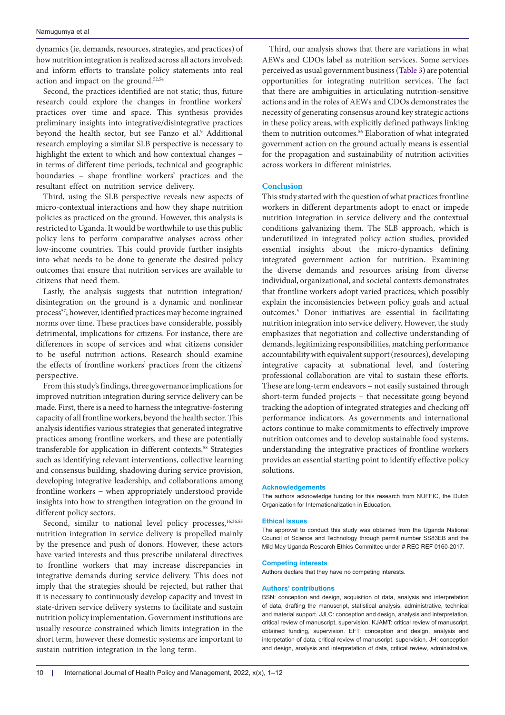dynamics (ie, demands, resources, strategies, and practices) of how nutrition integration is realized across all actors involved; and inform efforts to translate policy statements into real action and impact on the ground.52,54

Second, the practices identified are not static; thus, future research could explore the changes in frontline workers' practices over time and space. This synthesis provides preliminary insights into integrative/disintegrative practices beyond the health sector, but see Fanzo et al.<sup>9</sup> Additional research employing a similar SLB perspective is necessary to highlight the extent to which and how contextual changes − in terms of different time periods, technical and geographic boundaries – shape frontline workers' practices and the resultant effect on nutrition service delivery.

Third, using the SLB perspective reveals new aspects of micro-contextual interactions and how they shape nutrition policies as practiced on the ground. However, this analysis is restricted to Uganda. It would be worthwhile to use this public policy lens to perform comparative analyses across other low-income countries. This could provide further insights into what needs to be done to generate the desired policy outcomes that ensure that nutrition services are available to citizens that need them.

Lastly, the analysis suggests that nutrition integration/ disintegration on the ground is a dynamic and nonlinear process<sup>57</sup>; however, identified practices may become ingrained norms over time. These practices have considerable, possibly detrimental, implications for citizens. For instance, there are differences in scope of services and what citizens consider to be useful nutrition actions. Research should examine the effects of frontline workers' practices from the citizens' perspective.

From this study's findings, three governance implications for improved nutrition integration during service delivery can be made. First, there is a need to harness the integrative-fostering capacity of all frontline workers, beyond the health sector. This analysis identifies various strategies that generated integrative practices among frontline workers, and these are potentially transferable for application in different contexts.58 Strategies such as identifying relevant interventions, collective learning and consensus building, shadowing during service provision, developing integrative leadership, and collaborations among frontline workers − when appropriately understood provide insights into how to strengthen integration on the ground in different policy sectors.

Second, similar to national level policy processes,<sup>16,36,55</sup> nutrition integration in service delivery is propelled mainly by the presence and push of donors. However, these actors have varied interests and thus prescribe unilateral directives to frontline workers that may increase discrepancies in integrative demands during service delivery. This does not imply that the strategies should be rejected, but rather that it is necessary to continuously develop capacity and invest in state-driven service delivery systems to facilitate and sustain nutrition policy implementation. Government institutions are usually resource constrained which limits integration in the short term, however these domestic systems are important to sustain nutrition integration in the long term.

Third, our analysis shows that there are variations in what AEWs and CDOs label as nutrition services. Some services perceived as usual government business [\(Table 3](#page-5-0)) are potential opportunities for integrating nutrition services. The fact that there are ambiguities in articulating nutrition-sensitive actions and in the roles of AEWs and CDOs demonstrates the necessity of generating consensus around key strategic actions in these policy areas, with explicitly defined pathways linking them to nutrition outcomes.<sup>56</sup> Elaboration of what integrated government action on the ground actually means is essential for the propagation and sustainability of nutrition activities across workers in different ministries.

#### **Conclusion**

This study started with the question of what practices frontline workers in different departments adopt to enact or impede nutrition integration in service delivery and the contextual conditions galvanizing them. The SLB approach, which is underutilized in integrated policy action studies, provided essential insights about the micro-dynamics defining integrated government action for nutrition. Examining the diverse demands and resources arising from diverse individual, organizational, and societal contexts demonstrates that frontline workers adopt varied practices; which possibly explain the inconsistencies between policy goals and actual outcomes.5 Donor initiatives are essential in facilitating nutrition integration into service delivery. However, the study emphasizes that negotiation and collective understanding of demands, legitimizing responsibilities, matching performance accountability with equivalent support (resources), developing integrative capacity at subnational level, and fostering professional collaboration are vital to sustain these efforts. These are long-term endeavors – not easily sustained through short-term funded projects – that necessitate going beyond tracking the adoption of integrated strategies and checking off performance indicators. As governments and international actors continue to make commitments to effectively improve nutrition outcomes and to develop sustainable food systems, understanding the integrative practices of frontline workers provides an essential starting point to identify effective policy solutions.

#### **Acknowledgements**

The authors acknowledge funding for this research from NUFFIC, the Dutch Organization for Internationalization in Education.

#### **Ethical issues**

The approval to conduct this study was obtained from the Uganda National Council of Science and Technology through permit number SS83EB and the Mild May Uganda Research Ethics Committee under # REC REF 0160-2017.

#### **Competing interests**

Authors declare that they have no competing interests.

#### **Authors' contributions**

BSN: conception and design, acquisition of data, analysis and interpretation of data, drafting the manuscript, statistical analysis, administrative, technical and material support. JJLC: conception and design, analysis and interpretation, critical review of manuscript, supervision. KJAMT: critical review of manuscript, obtained funding, supervision. EFT: conception and design, analysis and interpetation of data, critical review of manuscript, supervision. JH: conception and design, analysis and interpretation of data, critical review, administrative,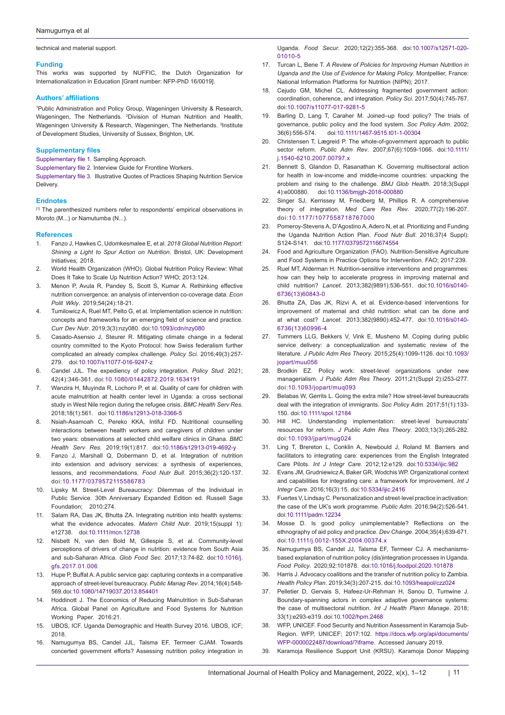technical and material support.

#### **Funding**

This works was supported by NUFFIC, the Dutch Organization for Internationalization in Education [Grant number: NFP-PhD 16/0019].

#### **Authors' affiliations**

1 Public Administration and Policy Group, Wageningen University & Research, Wageningen, The Netherlands. 2 Division of Human Nutrition and Health, Wageningen University & Research, Wageningen, The Netherlands. <sup>3</sup>Institute of Development Studies, University of Sussex, Brighton, UK.

#### **Supplementary files**

<span id="page-10-0"></span>[Supplementary file 1](https://www.ijhpm.com/jufile?ar_sfile=59591). Sampling Approach.

<span id="page-10-1"></span>[Supplementary file 2](https://www.ijhpm.com/jufile?ar_sfile=59592). Interview Guide for Frontline Workers.

<span id="page-10-2"></span>[Supplementary file 3](https://www.ijhpm.com/jufile?ar_sfile=59593). Illustrative Quotes of Practices Shaping Nutrition Service Delivery.

#### **Endnotes**

<span id="page-10-3"></span>[1] The parenthesized numbers refer to respondents' empirical observations in Moroto (M...) or Namutumba (N...).

#### **References**

- 1. Fanzo J, Hawkes C, Udomkesmalee E, et al. *2018 Global Nutrition Report: Shining a Light to Spur Action on Nutrition*. Bristol, UK: Development Initiatives; 2018.
- 2. World Health Organization (WHO). Global Nutrition Policy Review: What Does It Take to Scale Up Nutrition Action? WHO: 2013:124
- 3. Menon P, Avula R, Pandey S, Scott S, Kumar A. Rethinking effective nutrition convergence: an analysis of intervention co-coverage data. *Econ Polit Wkly*. 2019;54(24):18-21.
- 4. Tumilowicz A, Ruel MT, Pelto G, et al. Implementation science in nutrition: concepts and frameworks for an emerging field of science and practice. *Curr Dev Nutr*. 2019;3(3):nzy080. doi[:10.1093/cdn/nzy080](https://doi.org/10.1093/cdn/nzy080)
- 5. Casado-Asensio J, Steurer R. Mitigating climate change in a federal country committed to the Kyoto Protocol: how Swiss federalism further complicated an already complex challenge. *Policy Sci*. 2016;49(3):257- 279. doi:[10.1007/s11077-016-9247-z](https://doi.org/10.1007/s11077-016-9247-z)
- 6. Candel JJL. The expediency of policy integration. *Policy Stud*. 2021; 42(4):346-361. doi:[10.1080/01442872.2019.1634191](https://doi.org/10.1080/01442872.2019.1634191)
- 7. Wanzira H, Muyinda R, Lochoro P, et al. Quality of care for children with acute malnutrition at health center level in Uganda: a cross sectional study in West Nile region during the refugee crisis. *BMC Health Serv Res*. 2018;18(1):561. doi:[10.1186/s12913-018-3366-5](https://doi.org/10.1186/s12913-018-3366-5)
- 8. Nsiah-Asamoah C, Pereko KKA, Intiful FD. Nutritional counselling interactions between health workers and caregivers of children under two years: observations at selected child welfare clinics in Ghana. *BMC Health Serv Res*. 2019;19(1):817. doi[:10.1186/s12913-019-4692-y](https://doi.org/10.1186/s12913-019-4692-y)
- 9. Fanzo J, Marshall Q, Dobermann D, et al. Integration of nutrition into extension and advisory services: a synthesis of experiences, lessons, and recommendations. *Food Nutr Bull*. 2015;36(2):120-137. doi[:10.1177/0379572115586783](https://doi.org/10.1177/0379572115586783)
- 10. Lipsky M. Street-Level Bureaucracy: Dilemmas of the Individual in Public Service. 30th Anniversary Expanded Edition ed. Russell Sage Foundation; 2010:274.
- 11. Salam RA, Das JK, Bhutta ZA. Integrating nutrition into health systems: what the evidence advocates. *Matern Child Nutr*. 2019;15(suppl 1): e12738. doi:[10.1111/mcn.12738](https://doi.org/10.1111/mcn.12738)
- Nisbett N, van den Bold M, Gillespie S, et al. Community-level perceptions of drivers of change in nutrition: evidence from South Asia and sub-Saharan Africa. *Glob Food Sec*. 2017;13:74-82. doi:[10.1016/j.](https://doi.org/10.1016/j.gfs.2017.01.006) [gfs.2017.01.006](https://doi.org/10.1016/j.gfs.2017.01.006)
- 13. Hupe P, Buffat A. A public service gap: capturing contexts in a comparative approach of street-level bureaucracy. *Public Manag Rev*. 2014;16(4):548- 569. doi:[10.1080/14719037.2013.854401](https://doi.org/10.1080/14719037.2013.854401)
- 14. Hoddinott J. The Economics of Reducing Malnutrition in Sub-Saharan Africa. Global Panel on Agriculture and Food Systems for Nutrition Working Paper. 2016:21.
- 15. UBOS, ICF. Uganda Demographic and Health Survey 2016. UBOS, ICF; 2018.
- 16. Namugumya BS, Candel JJL, Talsma EF, Termeer CJAM. Towards concerted government efforts? Assessing nutrition policy integration in

Uganda. *Food Secur*. 2020;12(2):355-368. doi[:10.1007/s12571-020-](https://doi.org/10.1007/s12571-020-01010-5) [01010-5](https://doi.org/10.1007/s12571-020-01010-5)

- 17. Turcan L, Bene T. *A Review of Policies for Improving Human Nutrition in Uganda and the Use of Evidence for Making Policy*. Montpellier, France: National Information Platforms for Nutrition (NIPN); 2017.
- 18. Cejudo GM, Michel CL. Addressing fragmented government action: coordination, coherence, and integration. *Policy Sci*. 2017;50(4):745-767. doi:[10.1007/s11077-017-9281-5](https://doi.org/10.1007/s11077-017-9281-5)
- 19. Barling D, Lang T, Caraher M. Joined–up food policy? The trials of governance, public policy and the food system. *Soc Policy Adm*. 2002; 36(6):556-574. doi[:10.1111/1467-9515.t01-1-00304](https://doi.org/10.1111/1467-9515.t01-1-00304)
- 20. Christensen T, Lægreid P. The whole-of-government approach to public sector reform. *Public Adm Rev*. 2007;67(6):1059-1066. doi[:10.1111/](https://doi.org/10.1111/j.1540-6210.2007.00797.x) [j.1540-6210.2007.00797.x](https://doi.org/10.1111/j.1540-6210.2007.00797.x)
- 21. Bennett S, Glandon D, Rasanathan K. Governing multisectoral action for health in low-income and middle-income countries: unpacking the problem and rising to the challenge. *BMJ Glob Health*. 2018;3(Suppl 4):e000880. doi[:10.1136/bmjgh-2018-000880](https://doi.org/10.1136/bmjgh-2018-000880)
- 22. Singer SJ, Kerrissey M, Friedberg M, Phillips R. A comprehensive theory of integration. *Med Care Res Rev*. 2020;77(2):196-207. doi:[10.1177/1077558718767000](https://doi.org/10.1177/1077558718767000)
- 23. Pomeroy-Stevens A, D'Agostino A, Adero N, et al. Prioritizing and Funding the Uganda Nutrition Action Plan. *Food Nutr Bull*. 2016;37(4 Suppl): S124-S141. doi[:10.1177/0379572116674554](https://doi.org/10.1177/0379572116674554)
- 24. Food and Agriculture Organization (FAO). Nutrition-Sensitive Agriculture and Food Systems in Practice Options for Intervention. FAO; 2017:239.
- 25. Ruel MT, Alderman H. Nutrition-sensitive interventions and programmes: how can they help to accelerate progress in improving maternal and child nutrition? *Lancet*. 2013;382(9891):536-551. doi[:10.1016/s0140-](https://doi.org/10.1016/s0140-6736(13)60843-0) [6736\(13\)60843-0](https://doi.org/10.1016/s0140-6736(13)60843-0)
- 26. Bhutta ZA, Das JK, Rizvi A, et al. Evidence-based interventions for improvement of maternal and child nutrition: what can be done and at what cost? *Lancet*. 2013;382(9890):452-477. doi[:10.1016/s0140-](https://doi.org/10.1016/s0140-6736(13)60996-4) [6736\(13\)60996-4](https://doi.org/10.1016/s0140-6736(13)60996-4)
- 27. Tummers LLG, Bekkers V, Vink E, Musheno M. Coping during public service delivery: a conceptualization and systematic review of the literature. *J Public Adm Res Theory*. 2015;25(4):1099-1126. doi:[10.1093/](https://doi.org/10.1093/jopart/muu056) [jopart/muu056](https://doi.org/10.1093/jopart/muu056)
- 28. Brodkin EZ. Policy work: street-level organizations under new managerialism. *J Public Adm Res Theory*. 2011;21(Suppl 2):i253-i277. doi:[10.1093/jopart/muq093](https://doi.org/10.1093/jopart/muq093)
- 29. Belabas W, Gerrits L. Going the extra mile? How street-level bureaucrats deal with the integration of immigrants. *Soc Policy Adm*. 2017;51(1):133- 150. doi[:10.1111/spol.12184](https://doi.org/10.1111/spol.12184)
- 30. Hill HC. Understanding implementation: street‐level bureaucrats' resources for reform. *J Public Adm Res Theory*. 2003;13(3):265-282. doi:[10.1093/jpart/mug024](https://doi.org/10.1093/jpart/mug024)
- 31. Ling T, Brereton L, Conklin A, Newbould J, Roland M. Barriers and facilitators to integrating care: experiences from the English Integrated Care Pilots. *Int J Integr Care*. 2012;12:e129. doi[:10.5334/ijic.982](https://doi.org/10.5334/ijic.982)
- 32. Evans JM, Grudniewicz A, Baker GR, Wodchis WP. Organizational context and capabilities for integrating care: a framework for improvement. *Int J Integr Care*. 2016;16(3):15. doi:[10.5334/ijic.2416](https://doi.org/10.5334/ijic.2416)
- 33. Fuertes V, Lindsay C. Personalization and street‐level practice in activation: the case of the UK's work programme. *Public Adm*. 2016;94(2):526-541. doi[:10.1111/padm.12234](https://doi.org/10.1111/padm.12234)
- 34. Mosse D. Is good policy unimplementable? Reflections on the ethnography of aid policy and practice. *Dev Change*. 2004;35(4):639-671. doi[:10.1111/j.0012-155X.2004.00374.x](https://doi.org/10.1111/j.0012-155X.2004.00374.x)
- 35. Namugumya BS, Candel JJ, Talsma EF, Termeer CJ. A mechanismsbased explanation of nutrition policy (dis)integration processes in Uganda. *Food Policy*. 2020;92:101878. doi:[10.1016/j.foodpol.2020.101878](https://doi.org/10.1016/j.foodpol.2020.101878)
- 36. Harris J. Advocacy coalitions and the transfer of nutrition policy to Zambia. *Health Policy Plan*. 2019;34(3):207-215. doi[:10.1093/heapol/czz024](https://doi.org/10.1093/heapol/czz024)
- 37. Pelletier D, Gervais S, Hafeez-Ur-Rehman H, Sanou D, Tumwine J. Boundary-spanning actors in complex adaptive governance systems: the case of multisectoral nutrition. *Int J Health Plann Manage*. 2018; 33(1):e293-e319. doi:[10.1002/hpm.2468](https://doi.org/10.1002/hpm.2468)
- 38. WFP, UNICEF. Food Security and Nutrition Assessment in Karamoja Sub-Region. WFP, UNICEF; 2017:102. [https://docs.wfp.org/api/documents/](https://docs.wfp.org/api/documents/WFP-0000022487/download/?iframe) [WFP-0000022487/download/?iframe.](https://docs.wfp.org/api/documents/WFP-0000022487/download/?iframe) Accessed January 2019.
- 39. Karamoja Resilience Support Unit (KRSU). Karamoja Donor Mapping